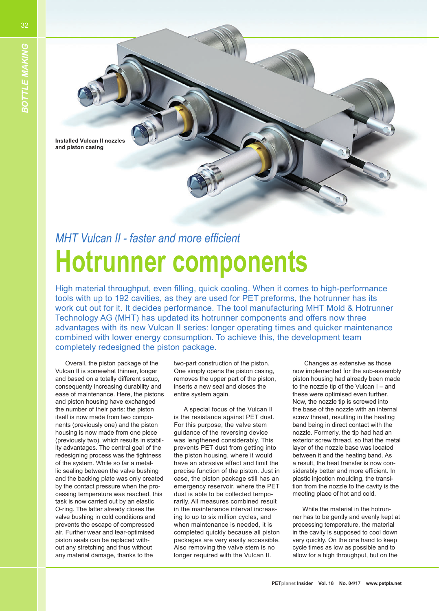**Installed Vulcan II nozzles and piston casing**

## **MHT Vulcan II - faster and more efficient Hotrunner components**

High material throughput, even filling, quick cooling. When it comes to high-performance tools with up to 192 cavities, as they are used for PET preforms, the hotrunner has its work cut out for it. It decides performance. The tool manufacturing MHT Mold & Hotrunner Technology AG (MHT) has updated its hotrunner components and offers now three advantages with its new Vulcan II series: longer operating times and quicker maintenance combined with lower energy consumption. To achieve this, the development team completely redesigned the piston package.

Overall, the piston package of the Vulcan II is somewhat thinner, longer and based on a totally different setup, consequently increasing durability and ease of maintenance. Here, the pistons and piston housing have exchanged the number of their parts: the piston itself is now made from two components (previously one) and the piston housing is now made from one piece (previously two), which results in stability advantages. The central goal of the redesigning process was the tightness of the system. While so far a metallic sealing between the valve bushing and the backing plate was only created by the contact pressure when the processing temperature was reached, this task is now carried out by an elastic O-ring. The latter already closes the valve bushing in cold conditions and prevents the escape of compressed air. Further wear and tear-optimised piston seals can be replaced without any stretching and thus without any material damage, thanks to the

two-part construction of the piston. One simply opens the piston casing, removes the upper part of the piston, inserts a new seal and closes the entire system again.

A special focus of the Vulcan II is the resistance against PET dust. For this purpose, the valve stem guidance of the reversing device was lengthened considerably. This prevents PET dust from getting into the piston housing, where it would have an abrasive effect and limit the precise function of the piston. Just in case, the piston package still has an emergency reservoir, where the PET dust is able to be collected temporarily. All measures combined result in the maintenance interval increasing to up to six million cycles, and when maintenance is needed, it is completed quickly because all piston packages are very easily accessible. Also removing the valve stem is no longer required with the Vulcan II.

 Changes as extensive as those now implemented for the sub-assembly piston housing had already been made to the nozzle tip of the Vulcan I – and these were optimised even further. Now, the nozzle tip is screwed into the base of the nozzle with an internal screw thread, resulting in the heating band being in direct contact with the nozzle. Formerly, the tip had had an exterior screw thread, so that the metal layer of the nozzle base was located between it and the heating band. As a result, the heat transfer is now considerably better and more efficient. In plastic injection moulding, the transition from the nozzle to the cavity is the meeting place of hot and cold.

While the material in the hotrunner has to be gently and evenly kept at processing temperature, the material in the cavity is supposed to cool down very quickly. On the one hand to keep cycle times as low as possible and to allow for a high throughput, but on the